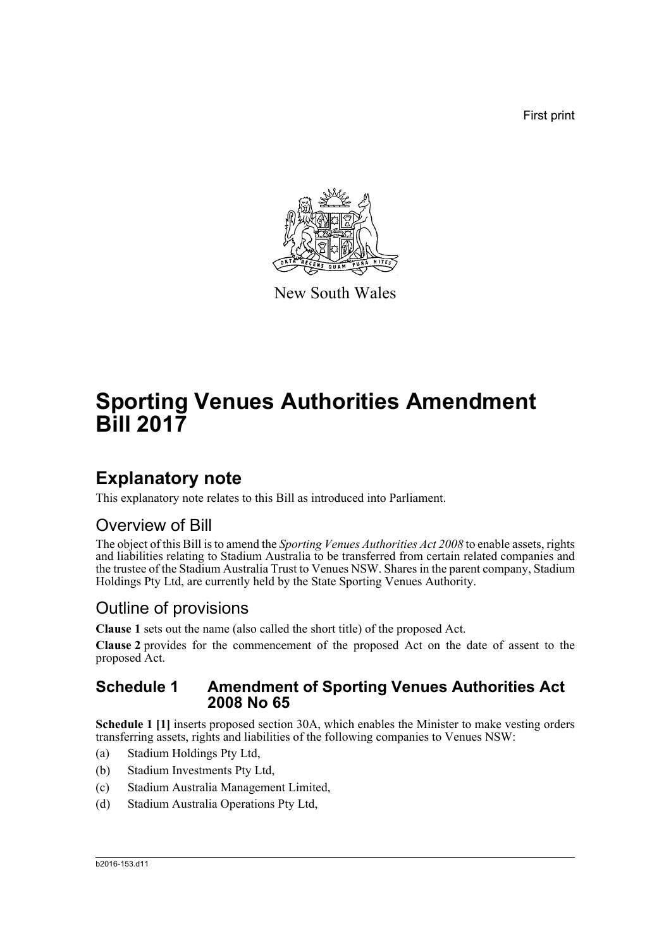First print



New South Wales

# **Sporting Venues Authorities Amendment Bill 2017**

## **Explanatory note**

This explanatory note relates to this Bill as introduced into Parliament.

### Overview of Bill

The object of this Bill is to amend the *Sporting Venues Authorities Act 2008* to enable assets, rights and liabilities relating to Stadium Australia to be transferred from certain related companies and the trustee of the Stadium Australia Trust to Venues NSW. Shares in the parent company, Stadium Holdings Pty Ltd, are currently held by the State Sporting Venues Authority.

### Outline of provisions

**Clause 1** sets out the name (also called the short title) of the proposed Act.

**Clause 2** provides for the commencement of the proposed Act on the date of assent to the proposed Act.

#### **Schedule 1 Amendment of Sporting Venues Authorities Act 2008 No 65**

**Schedule 1 [1]** inserts proposed section 30A, which enables the Minister to make vesting orders transferring assets, rights and liabilities of the following companies to Venues NSW:

- (a) Stadium Holdings Pty Ltd,
- (b) Stadium Investments Pty Ltd,
- (c) Stadium Australia Management Limited,
- (d) Stadium Australia Operations Pty Ltd,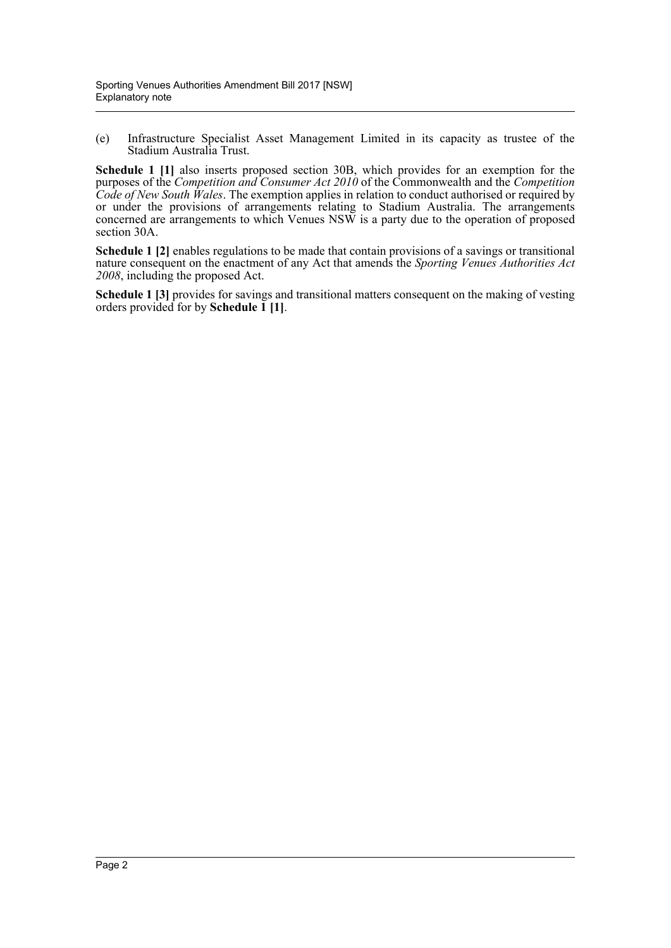(e) Infrastructure Specialist Asset Management Limited in its capacity as trustee of the Stadium Australia Trust.

**Schedule 1 [1]** also inserts proposed section 30B, which provides for an exemption for the purposes of the *Competition and Consumer Act 2010* of the Commonwealth and the *Competition Code of New South Wales*. The exemption applies in relation to conduct authorised or required by or under the provisions of arrangements relating to Stadium Australia. The arrangements concerned are arrangements to which Venues NSW is a party due to the operation of proposed section 30A.

**Schedule 1 [2]** enables regulations to be made that contain provisions of a savings or transitional nature consequent on the enactment of any Act that amends the *Sporting Venues Authorities Act 2008*, including the proposed Act.

**Schedule 1 [3]** provides for savings and transitional matters consequent on the making of vesting orders provided for by **Schedule 1 [1]**.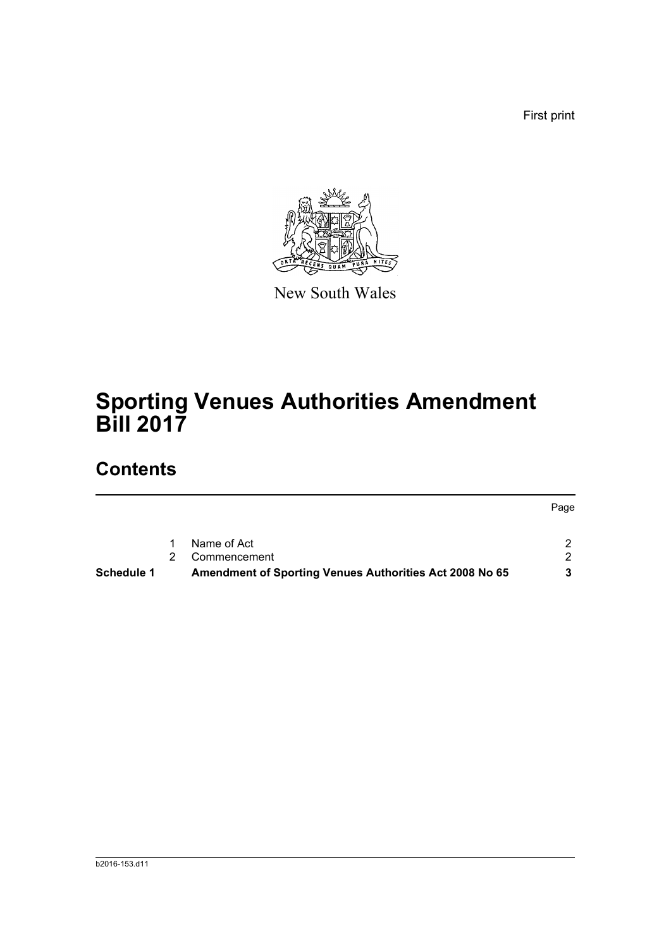First print



New South Wales

# **Sporting Venues Authorities Amendment Bill 2017**

## **Contents**

|                   |                                                         | Page |
|-------------------|---------------------------------------------------------|------|
|                   | Name of Act                                             |      |
|                   | Commencement                                            | ົາ   |
| <b>Schedule 1</b> | Amendment of Sporting Venues Authorities Act 2008 No 65 |      |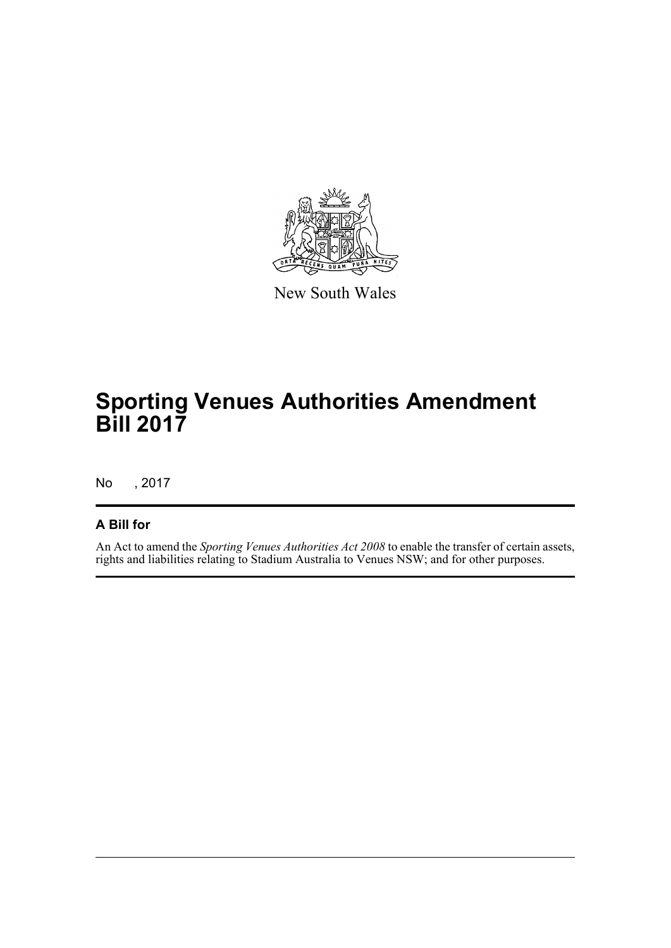

New South Wales

# **Sporting Venues Authorities Amendment Bill 2017**

No , 2017

#### **A Bill for**

An Act to amend the *Sporting Venues Authorities Act 2008* to enable the transfer of certain assets, rights and liabilities relating to Stadium Australia to Venues NSW; and for other purposes.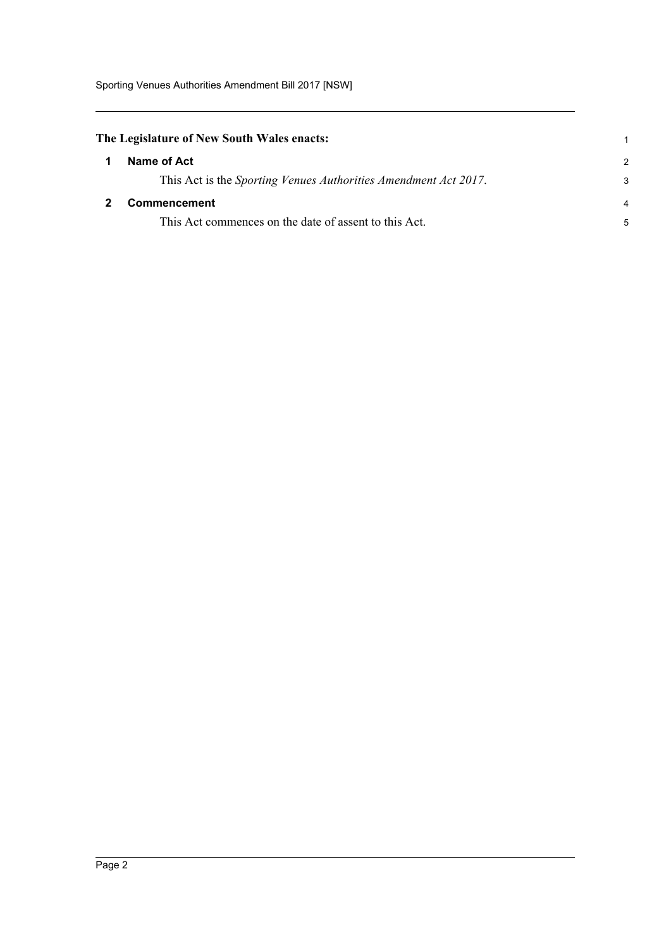<span id="page-4-0"></span>

| The Legislature of New South Wales enacts: |             |  |  |  |  |
|--------------------------------------------|-------------|--|--|--|--|
|                                            | Name of Act |  |  |  |  |

<span id="page-4-1"></span>

|   | Name of Act                                                             |   |
|---|-------------------------------------------------------------------------|---|
|   | This Act is the <i>Sporting Venues Authorities Amendment Act 2017</i> . | 3 |
| 2 | Commencement                                                            |   |
|   | This Act commences on the date of assent to this Act.                   | 5 |

1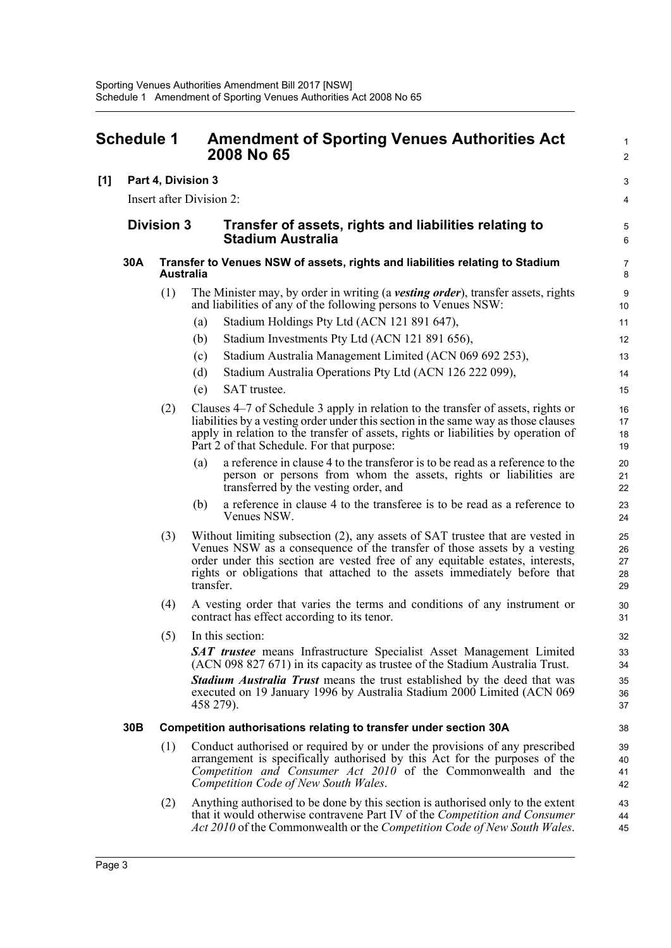<span id="page-5-0"></span>

|     | <b>Schedule 1</b>        |                  |                                                                                    | <b>Amendment of Sporting Venues Authorities Act</b><br>2008 No 65                                                                                                                                                                                                                                                       |                            |
|-----|--------------------------|------------------|------------------------------------------------------------------------------------|-------------------------------------------------------------------------------------------------------------------------------------------------------------------------------------------------------------------------------------------------------------------------------------------------------------------------|----------------------------|
| [1] |                          |                  | Part 4, Division 3                                                                 |                                                                                                                                                                                                                                                                                                                         | 3                          |
|     | Insert after Division 2: |                  |                                                                                    |                                                                                                                                                                                                                                                                                                                         | 4                          |
|     | <b>Division 3</b>        |                  | Transfer of assets, rights and liabilities relating to<br><b>Stadium Australia</b> |                                                                                                                                                                                                                                                                                                                         | 5<br>6                     |
|     | 30A                      | <b>Australia</b> |                                                                                    | Transfer to Venues NSW of assets, rights and liabilities relating to Stadium                                                                                                                                                                                                                                            | $\overline{7}$<br>8        |
|     |                          | (1)              |                                                                                    | The Minister may, by order in writing (a vesting order), transfer assets, rights<br>and liabilities of any of the following persons to Venues NSW:                                                                                                                                                                      | $9\,$<br>10                |
|     |                          |                  | (a)                                                                                | Stadium Holdings Pty Ltd (ACN 121 891 647),                                                                                                                                                                                                                                                                             | 11                         |
|     |                          |                  | (b)                                                                                | Stadium Investments Pty Ltd (ACN 121 891 656),                                                                                                                                                                                                                                                                          | 12                         |
|     |                          |                  | (c)                                                                                | Stadium Australia Management Limited (ACN 069 692 253),                                                                                                                                                                                                                                                                 | 13                         |
|     |                          |                  | (d)                                                                                | Stadium Australia Operations Pty Ltd (ACN 126 222 099),                                                                                                                                                                                                                                                                 | 14                         |
|     |                          |                  | (e)                                                                                | SAT trustee.                                                                                                                                                                                                                                                                                                            | 15                         |
|     |                          | (2)              |                                                                                    | Clauses 4–7 of Schedule 3 apply in relation to the transfer of assets, rights or<br>liabilities by a vesting order under this section in the same way as those clauses<br>apply in relation to the transfer of assets, rights or liabilities by operation of<br>Part 2 of that Schedule. For that purpose:              | 16<br>17<br>18<br>19       |
|     |                          |                  | (a)                                                                                | a reference in clause 4 to the transferor is to be read as a reference to the<br>person or persons from whom the assets, rights or liabilities are<br>transferred by the vesting order, and                                                                                                                             | 20<br>21<br>22             |
|     |                          |                  | (b)                                                                                | a reference in clause 4 to the transferee is to be read as a reference to<br>Venues NSW.                                                                                                                                                                                                                                | 23<br>24                   |
|     |                          | (3)              | transfer.                                                                          | Without limiting subsection (2), any assets of SAT trustee that are vested in<br>Venues NSW as a consequence of the transfer of those assets by a vesting<br>order under this section are vested free of any equitable estates, interests,<br>rights or obligations that attached to the assets immediately before that | 25<br>26<br>27<br>28<br>29 |
|     |                          | (4)              |                                                                                    | A vesting order that varies the terms and conditions of any instrument or<br>contract has effect according to its tenor.                                                                                                                                                                                                | 30<br>31                   |
|     |                          | (5)              |                                                                                    | In this section:                                                                                                                                                                                                                                                                                                        | 32                         |
|     |                          |                  |                                                                                    | <b>SAT trustee</b> means Infrastructure Specialist Asset Management Limited<br>(ACN 098 827 671) in its capacity as trustee of the Stadium Australia Trust.                                                                                                                                                             | 33<br>34                   |
|     |                          |                  | 458 279).                                                                          | <b>Stadium Australia Trust</b> means the trust established by the deed that was<br>executed on 19 January 1996 by Australia Stadium 2000 Limited (ACN 069)                                                                                                                                                              | 35<br>36<br>37             |
|     | 30 <sub>B</sub>          |                  | Competition authorisations relating to transfer under section 30A                  |                                                                                                                                                                                                                                                                                                                         |                            |
|     |                          | (1)              |                                                                                    | Conduct authorised or required by or under the provisions of any prescribed<br>arrangement is specifically authorised by this Act for the purposes of the<br>Competition and Consumer Act 2010 of the Commonwealth and the<br>Competition Code of New South Wales.                                                      | 39<br>40<br>41<br>42       |
|     |                          | (2)              |                                                                                    | Anything authorised to be done by this section is authorised only to the extent<br>that it would otherwise contravene Part IV of the Competition and Consumer<br>Act 2010 of the Commonwealth or the Competition Code of New South Wales.                                                                               | 43<br>44<br>45             |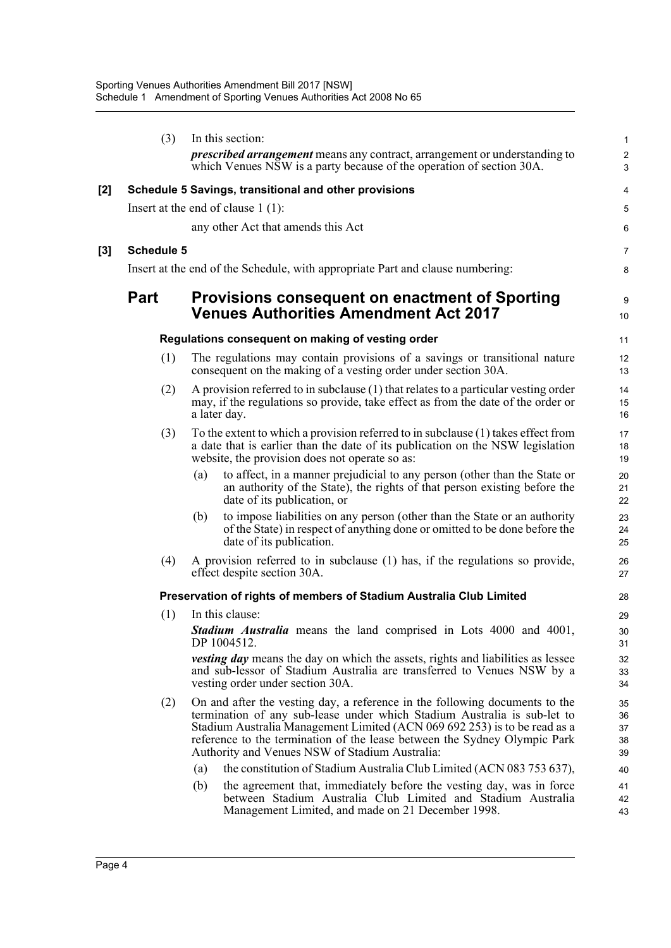|     | (3)                                                   |     | In this section:<br><i>prescribed arrangement</i> means any contract, arrangement or understanding to<br>which Venues NSW is a party because of the operation of section 30A.                                                                                                                                                                                       | 1<br>$\overline{\mathbf{c}}$<br>3 |  |  |
|-----|-------------------------------------------------------|-----|---------------------------------------------------------------------------------------------------------------------------------------------------------------------------------------------------------------------------------------------------------------------------------------------------------------------------------------------------------------------|-----------------------------------|--|--|
|     |                                                       |     |                                                                                                                                                                                                                                                                                                                                                                     |                                   |  |  |
| [2] | Schedule 5 Savings, transitional and other provisions |     |                                                                                                                                                                                                                                                                                                                                                                     |                                   |  |  |
|     |                                                       |     | Insert at the end of clause $1(1)$ :                                                                                                                                                                                                                                                                                                                                | 5                                 |  |  |
|     |                                                       |     | any other Act that amends this Act                                                                                                                                                                                                                                                                                                                                  | 6                                 |  |  |
| [3] | Schedule 5                                            |     |                                                                                                                                                                                                                                                                                                                                                                     | 7                                 |  |  |
|     |                                                       |     | Insert at the end of the Schedule, with appropriate Part and clause numbering:                                                                                                                                                                                                                                                                                      | 8                                 |  |  |
|     | <b>Part</b>                                           |     | <b>Provisions consequent on enactment of Sporting</b><br><b>Venues Authorities Amendment Act 2017</b>                                                                                                                                                                                                                                                               | 9<br>10                           |  |  |
|     |                                                       |     | Regulations consequent on making of vesting order                                                                                                                                                                                                                                                                                                                   | 11                                |  |  |
|     | (1)                                                   |     | The regulations may contain provisions of a savings or transitional nature<br>consequent on the making of a vesting order under section 30A.                                                                                                                                                                                                                        | 12<br>13                          |  |  |
|     | (2)                                                   |     | A provision referred to in subclause (1) that relates to a particular vesting order<br>may, if the regulations so provide, take effect as from the date of the order or<br>a later day.                                                                                                                                                                             | 14<br>15<br>16                    |  |  |
|     | (3)                                                   |     | To the extent to which a provision referred to in subclause (1) takes effect from<br>a date that is earlier than the date of its publication on the NSW legislation<br>website, the provision does not operate so as:                                                                                                                                               | 17<br>18<br>19                    |  |  |
|     |                                                       | (a) | to affect, in a manner prejudicial to any person (other than the State or<br>an authority of the State), the rights of that person existing before the<br>date of its publication, or                                                                                                                                                                               | 20<br>21<br>22                    |  |  |
|     |                                                       | (b) | to impose liabilities on any person (other than the State or an authority<br>of the State) in respect of anything done or omitted to be done before the<br>date of its publication.                                                                                                                                                                                 | 23<br>24<br>25                    |  |  |
|     | (4)                                                   |     | A provision referred to in subclause (1) has, if the regulations so provide,<br>effect despite section 30A.                                                                                                                                                                                                                                                         | 26<br>27                          |  |  |
|     |                                                       |     | Preservation of rights of members of Stadium Australia Club Limited                                                                                                                                                                                                                                                                                                 | 28                                |  |  |
|     | (1)                                                   |     | In this clause:                                                                                                                                                                                                                                                                                                                                                     | 29                                |  |  |
|     |                                                       |     | Stadium Australia means the land comprised in Lots 4000 and 4001,<br>DP 1004512.                                                                                                                                                                                                                                                                                    | 30<br>31                          |  |  |
|     |                                                       |     | <i>vesting day</i> means the day on which the assets, rights and liabilities as lessee<br>and sub-lessor of Stadium Australia are transferred to Venues NSW by a<br>vesting order under section 30A.                                                                                                                                                                | 32<br>33<br>34                    |  |  |
|     | (2)                                                   |     | On and after the vesting day, a reference in the following documents to the<br>termination of any sub-lease under which Stadium Australia is sub-let to<br>Stadium Australia Management Limited (ACN 069 692 253) is to be read as a<br>reference to the termination of the lease between the Sydney Olympic Park<br>Authority and Venues NSW of Stadium Australia: | 35<br>36<br>37<br>38<br>39        |  |  |
|     |                                                       | (a) | the constitution of Stadium Australia Club Limited (ACN 083 753 637),                                                                                                                                                                                                                                                                                               | 40                                |  |  |
|     |                                                       | (b) | the agreement that, immediately before the vesting day, was in force<br>between Stadium Australia Club Limited and Stadium Australia<br>Management Limited, and made on 21 December 1998.                                                                                                                                                                           | 41<br>42<br>43                    |  |  |
|     |                                                       |     |                                                                                                                                                                                                                                                                                                                                                                     |                                   |  |  |